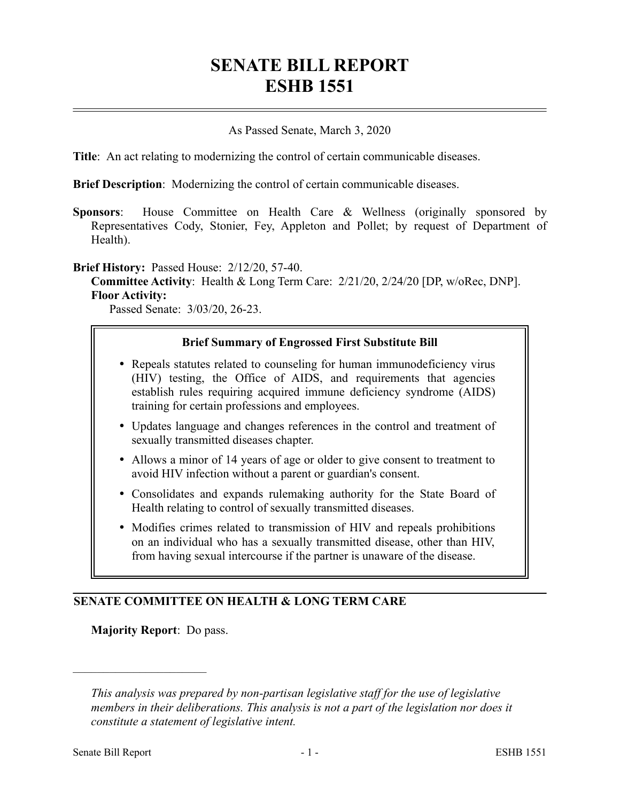# **SENATE BILL REPORT ESHB 1551**

#### As Passed Senate, March 3, 2020

**Title**: An act relating to modernizing the control of certain communicable diseases.

**Brief Description**: Modernizing the control of certain communicable diseases.

**Sponsors**: House Committee on Health Care & Wellness (originally sponsored by Representatives Cody, Stonier, Fey, Appleton and Pollet; by request of Department of Health).

**Brief History:** Passed House: 2/12/20, 57-40.

**Committee Activity**: Health & Long Term Care: 2/21/20, 2/24/20 [DP, w/oRec, DNP]. **Floor Activity:**

Passed Senate: 3/03/20, 26-23.

#### **Brief Summary of Engrossed First Substitute Bill**

- Repeals statutes related to counseling for human immunodeficiency virus (HIV) testing, the Office of AIDS, and requirements that agencies establish rules requiring acquired immune deficiency syndrome (AIDS) training for certain professions and employees.
- Updates language and changes references in the control and treatment of sexually transmitted diseases chapter.
- Allows a minor of 14 years of age or older to give consent to treatment to avoid HIV infection without a parent or guardian's consent.
- Consolidates and expands rulemaking authority for the State Board of Health relating to control of sexually transmitted diseases.
- Modifies crimes related to transmission of HIV and repeals prohibitions on an individual who has a sexually transmitted disease, other than HIV, from having sexual intercourse if the partner is unaware of the disease.

## **SENATE COMMITTEE ON HEALTH & LONG TERM CARE**

**Majority Report**: Do pass.

––––––––––––––––––––––

*This analysis was prepared by non-partisan legislative staff for the use of legislative members in their deliberations. This analysis is not a part of the legislation nor does it constitute a statement of legislative intent.*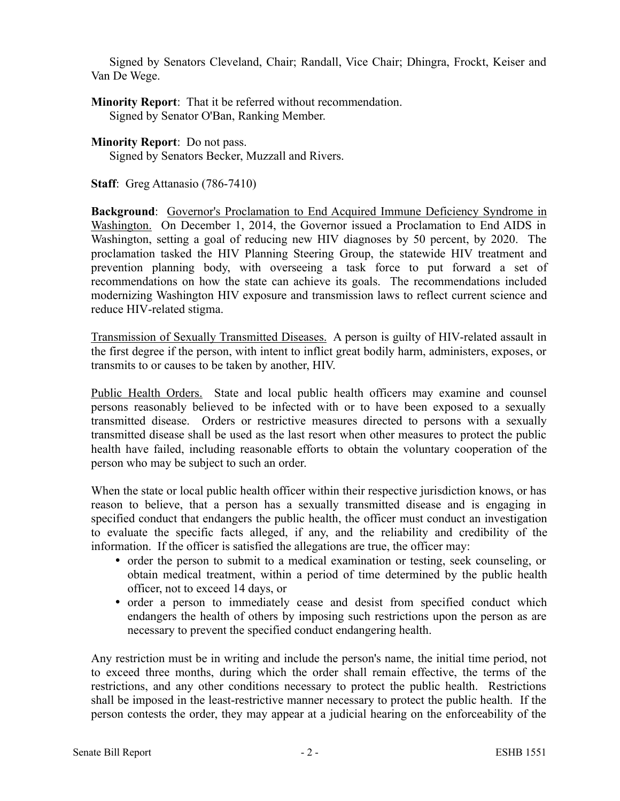Signed by Senators Cleveland, Chair; Randall, Vice Chair; Dhingra, Frockt, Keiser and Van De Wege.

**Minority Report**: That it be referred without recommendation. Signed by Senator O'Ban, Ranking Member.

**Minority Report**: Do not pass. Signed by Senators Becker, Muzzall and Rivers.

**Staff**: Greg Attanasio (786-7410)

**Background:** Governor's Proclamation to End Acquired Immune Deficiency Syndrome in Washington. On December 1, 2014, the Governor issued a Proclamation to End AIDS in Washington, setting a goal of reducing new HIV diagnoses by 50 percent, by 2020. The proclamation tasked the HIV Planning Steering Group, the statewide HIV treatment and prevention planning body, with overseeing a task force to put forward a set of recommendations on how the state can achieve its goals. The recommendations included modernizing Washington HIV exposure and transmission laws to reflect current science and reduce HIV-related stigma.

Transmission of Sexually Transmitted Diseases. A person is guilty of HIV-related assault in the first degree if the person, with intent to inflict great bodily harm, administers, exposes, or transmits to or causes to be taken by another, HIV.

Public Health Orders. State and local public health officers may examine and counsel persons reasonably believed to be infected with or to have been exposed to a sexually transmitted disease. Orders or restrictive measures directed to persons with a sexually transmitted disease shall be used as the last resort when other measures to protect the public health have failed, including reasonable efforts to obtain the voluntary cooperation of the person who may be subject to such an order.

When the state or local public health officer within their respective jurisdiction knows, or has reason to believe, that a person has a sexually transmitted disease and is engaging in specified conduct that endangers the public health, the officer must conduct an investigation to evaluate the specific facts alleged, if any, and the reliability and credibility of the information. If the officer is satisfied the allegations are true, the officer may:

- order the person to submit to a medical examination or testing, seek counseling, or obtain medical treatment, within a period of time determined by the public health officer, not to exceed 14 days, or
- order a person to immediately cease and desist from specified conduct which endangers the health of others by imposing such restrictions upon the person as are necessary to prevent the specified conduct endangering health.

Any restriction must be in writing and include the person's name, the initial time period, not to exceed three months, during which the order shall remain effective, the terms of the restrictions, and any other conditions necessary to protect the public health. Restrictions shall be imposed in the least-restrictive manner necessary to protect the public health. If the person contests the order, they may appear at a judicial hearing on the enforceability of the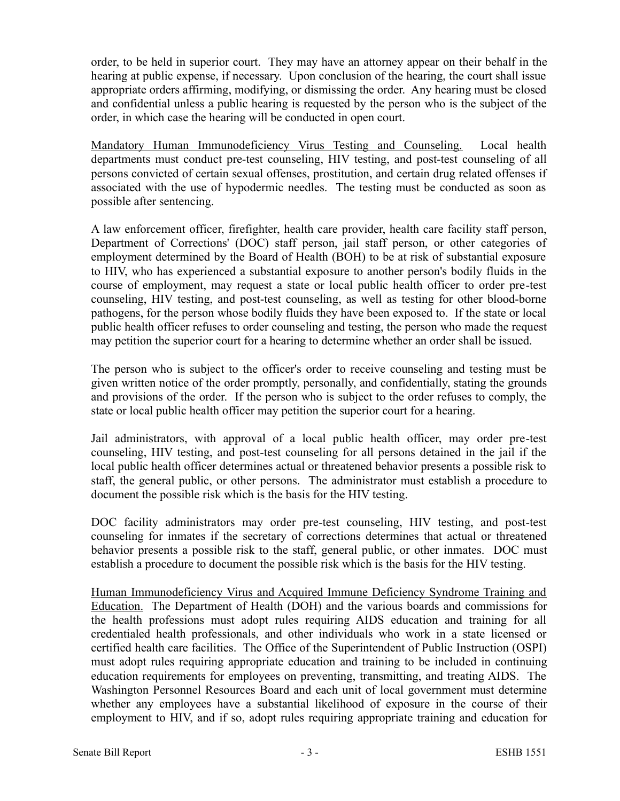order, to be held in superior court. They may have an attorney appear on their behalf in the hearing at public expense, if necessary. Upon conclusion of the hearing, the court shall issue appropriate orders affirming, modifying, or dismissing the order. Any hearing must be closed and confidential unless a public hearing is requested by the person who is the subject of the order, in which case the hearing will be conducted in open court.

Mandatory Human Immunodeficiency Virus Testing and Counseling. Local health departments must conduct pre-test counseling, HIV testing, and post-test counseling of all persons convicted of certain sexual offenses, prostitution, and certain drug related offenses if associated with the use of hypodermic needles. The testing must be conducted as soon as possible after sentencing.

A law enforcement officer, firefighter, health care provider, health care facility staff person, Department of Corrections' (DOC) staff person, jail staff person, or other categories of employment determined by the Board of Health (BOH) to be at risk of substantial exposure to HIV, who has experienced a substantial exposure to another person's bodily fluids in the course of employment, may request a state or local public health officer to order pre-test counseling, HIV testing, and post-test counseling, as well as testing for other blood-borne pathogens, for the person whose bodily fluids they have been exposed to. If the state or local public health officer refuses to order counseling and testing, the person who made the request may petition the superior court for a hearing to determine whether an order shall be issued.

The person who is subject to the officer's order to receive counseling and testing must be given written notice of the order promptly, personally, and confidentially, stating the grounds and provisions of the order. If the person who is subject to the order refuses to comply, the state or local public health officer may petition the superior court for a hearing.

Jail administrators, with approval of a local public health officer, may order pre-test counseling, HIV testing, and post-test counseling for all persons detained in the jail if the local public health officer determines actual or threatened behavior presents a possible risk to staff, the general public, or other persons. The administrator must establish a procedure to document the possible risk which is the basis for the HIV testing.

DOC facility administrators may order pre-test counseling, HIV testing, and post-test counseling for inmates if the secretary of corrections determines that actual or threatened behavior presents a possible risk to the staff, general public, or other inmates. DOC must establish a procedure to document the possible risk which is the basis for the HIV testing.

Human Immunodeficiency Virus and Acquired Immune Deficiency Syndrome Training and Education. The Department of Health (DOH) and the various boards and commissions for the health professions must adopt rules requiring AIDS education and training for all credentialed health professionals, and other individuals who work in a state licensed or certified health care facilities. The Office of the Superintendent of Public Instruction (OSPI) must adopt rules requiring appropriate education and training to be included in continuing education requirements for employees on preventing, transmitting, and treating AIDS. The Washington Personnel Resources Board and each unit of local government must determine whether any employees have a substantial likelihood of exposure in the course of their employment to HIV, and if so, adopt rules requiring appropriate training and education for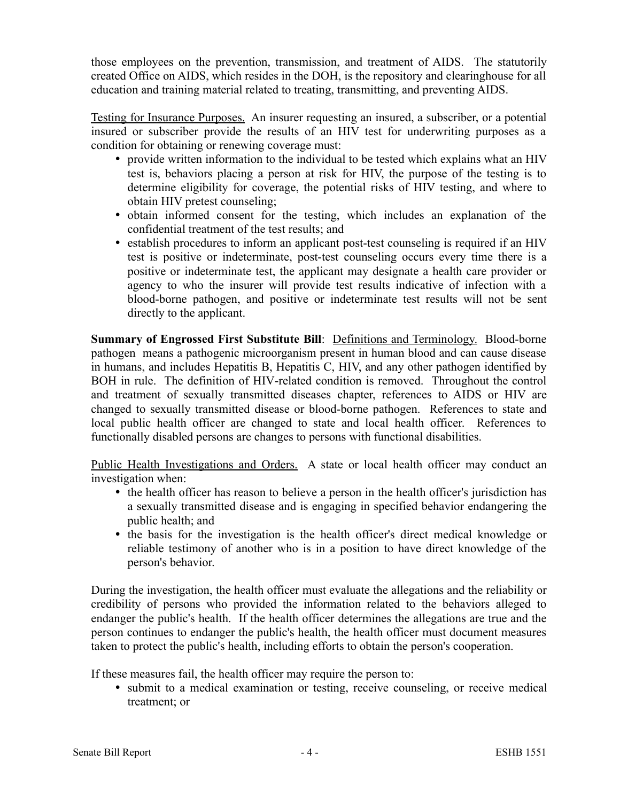those employees on the prevention, transmission, and treatment of AIDS. The statutorily created Office on AIDS, which resides in the DOH, is the repository and clearinghouse for all education and training material related to treating, transmitting, and preventing AIDS.

Testing for Insurance Purposes. An insurer requesting an insured, a subscriber, or a potential insured or subscriber provide the results of an HIV test for underwriting purposes as a condition for obtaining or renewing coverage must:

- provide written information to the individual to be tested which explains what an HIV test is, behaviors placing a person at risk for HIV, the purpose of the testing is to determine eligibility for coverage, the potential risks of HIV testing, and where to obtain HIV pretest counseling;
- obtain informed consent for the testing, which includes an explanation of the confidential treatment of the test results; and
- establish procedures to inform an applicant post-test counseling is required if an HIV test is positive or indeterminate, post-test counseling occurs every time there is a positive or indeterminate test, the applicant may designate a health care provider or agency to who the insurer will provide test results indicative of infection with a blood-borne pathogen, and positive or indeterminate test results will not be sent directly to the applicant.

**Summary of Engrossed First Substitute Bill: Definitions and Terminology. Blood-borne** pathogen means a pathogenic microorganism present in human blood and can cause disease in humans, and includes Hepatitis B, Hepatitis C, HIV, and any other pathogen identified by BOH in rule. The definition of HIV-related condition is removed. Throughout the control and treatment of sexually transmitted diseases chapter, references to AIDS or HIV are changed to sexually transmitted disease or blood-borne pathogen. References to state and local public health officer are changed to state and local health officer. References to functionally disabled persons are changes to persons with functional disabilities.

Public Health Investigations and Orders. A state or local health officer may conduct an investigation when:

- the health officer has reason to believe a person in the health officer's jurisdiction has a sexually transmitted disease and is engaging in specified behavior endangering the public health; and
- the basis for the investigation is the health officer's direct medical knowledge or reliable testimony of another who is in a position to have direct knowledge of the person's behavior.

During the investigation, the health officer must evaluate the allegations and the reliability or credibility of persons who provided the information related to the behaviors alleged to endanger the public's health. If the health officer determines the allegations are true and the person continues to endanger the public's health, the health officer must document measures taken to protect the public's health, including efforts to obtain the person's cooperation.

If these measures fail, the health officer may require the person to:

 submit to a medical examination or testing, receive counseling, or receive medical treatment; or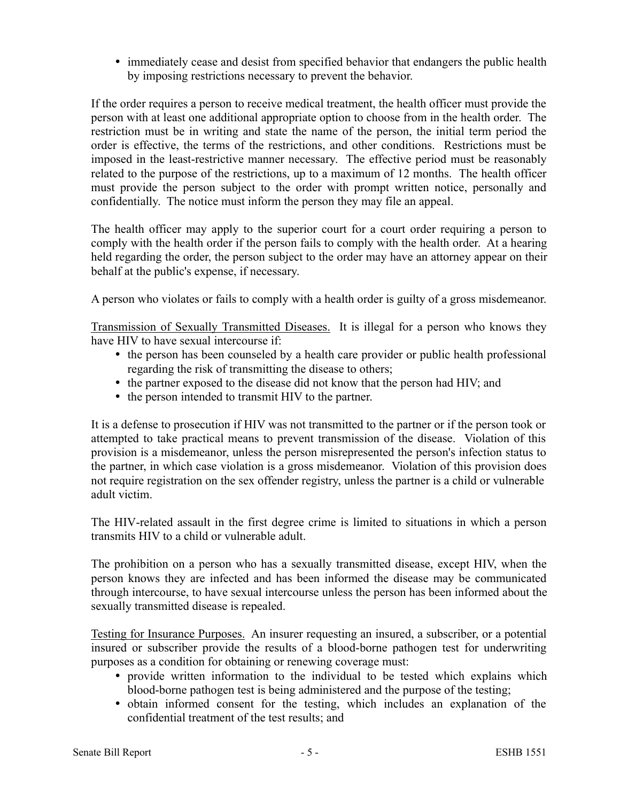• immediately cease and desist from specified behavior that endangers the public health by imposing restrictions necessary to prevent the behavior.

If the order requires a person to receive medical treatment, the health officer must provide the person with at least one additional appropriate option to choose from in the health order. The restriction must be in writing and state the name of the person, the initial term period the order is effective, the terms of the restrictions, and other conditions. Restrictions must be imposed in the least-restrictive manner necessary. The effective period must be reasonably related to the purpose of the restrictions, up to a maximum of 12 months. The health officer must provide the person subject to the order with prompt written notice, personally and confidentially. The notice must inform the person they may file an appeal.

The health officer may apply to the superior court for a court order requiring a person to comply with the health order if the person fails to comply with the health order. At a hearing held regarding the order, the person subject to the order may have an attorney appear on their behalf at the public's expense, if necessary.

A person who violates or fails to comply with a health order is guilty of a gross misdemeanor.

Transmission of Sexually Transmitted Diseases. It is illegal for a person who knows they have HIV to have sexual intercourse if:

- the person has been counseled by a health care provider or public health professional regarding the risk of transmitting the disease to others;
- the partner exposed to the disease did not know that the person had HIV; and
- the person intended to transmit HIV to the partner.

It is a defense to prosecution if HIV was not transmitted to the partner or if the person took or attempted to take practical means to prevent transmission of the disease. Violation of this provision is a misdemeanor, unless the person misrepresented the person's infection status to the partner, in which case violation is a gross misdemeanor. Violation of this provision does not require registration on the sex offender registry, unless the partner is a child or vulnerable adult victim.

The HIV-related assault in the first degree crime is limited to situations in which a person transmits HIV to a child or vulnerable adult.

The prohibition on a person who has a sexually transmitted disease, except HIV, when the person knows they are infected and has been informed the disease may be communicated through intercourse, to have sexual intercourse unless the person has been informed about the sexually transmitted disease is repealed.

Testing for Insurance Purposes. An insurer requesting an insured, a subscriber, or a potential insured or subscriber provide the results of a blood-borne pathogen test for underwriting purposes as a condition for obtaining or renewing coverage must:

- provide written information to the individual to be tested which explains which blood-borne pathogen test is being administered and the purpose of the testing;
- obtain informed consent for the testing, which includes an explanation of the confidential treatment of the test results; and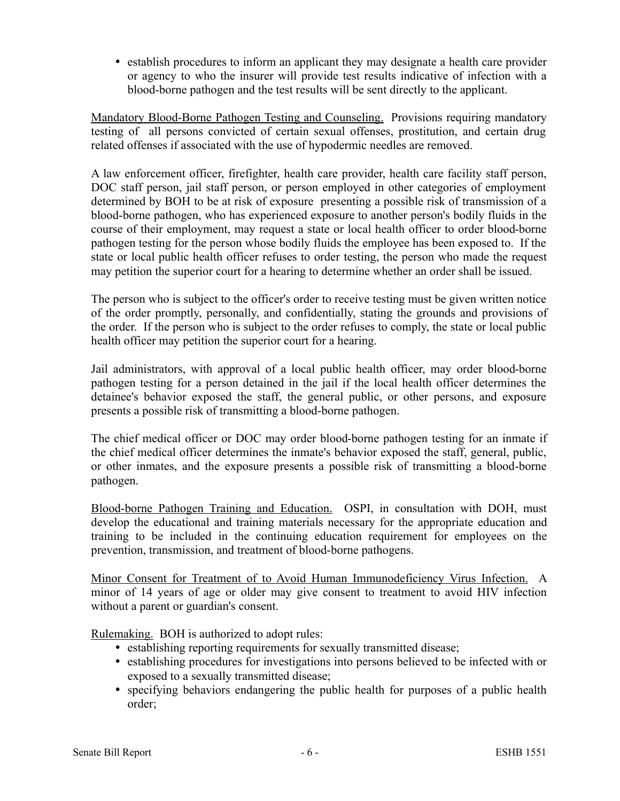establish procedures to inform an applicant they may designate a health care provider or agency to who the insurer will provide test results indicative of infection with a blood-borne pathogen and the test results will be sent directly to the applicant.

Mandatory Blood-Borne Pathogen Testing and Counseling. Provisions requiring mandatory testing of all persons convicted of certain sexual offenses, prostitution, and certain drug related offenses if associated with the use of hypodermic needles are removed.

A law enforcement officer, firefighter, health care provider, health care facility staff person, DOC staff person, jail staff person, or person employed in other categories of employment determined by BOH to be at risk of exposure presenting a possible risk of transmission of a blood-borne pathogen, who has experienced exposure to another person's bodily fluids in the course of their employment, may request a state or local health officer to order blood-borne pathogen testing for the person whose bodily fluids the employee has been exposed to. If the state or local public health officer refuses to order testing, the person who made the request may petition the superior court for a hearing to determine whether an order shall be issued.

The person who is subject to the officer's order to receive testing must be given written notice of the order promptly, personally, and confidentially, stating the grounds and provisions of the order. If the person who is subject to the order refuses to comply, the state or local public health officer may petition the superior court for a hearing.

Jail administrators, with approval of a local public health officer, may order blood-borne pathogen testing for a person detained in the jail if the local health officer determines the detainee's behavior exposed the staff, the general public, or other persons, and exposure presents a possible risk of transmitting a blood-borne pathogen.

The chief medical officer or DOC may order blood-borne pathogen testing for an inmate if the chief medical officer determines the inmate's behavior exposed the staff, general, public, or other inmates, and the exposure presents a possible risk of transmitting a blood-borne pathogen.

Blood-borne Pathogen Training and Education. OSPI, in consultation with DOH, must develop the educational and training materials necessary for the appropriate education and training to be included in the continuing education requirement for employees on the prevention, transmission, and treatment of blood-borne pathogens.

Minor Consent for Treatment of to Avoid Human Immunodeficiency Virus Infection. A minor of 14 years of age or older may give consent to treatment to avoid HIV infection without a parent or guardian's consent.

Rulemaking. BOH is authorized to adopt rules:

- establishing reporting requirements for sexually transmitted disease;
- establishing procedures for investigations into persons believed to be infected with or exposed to a sexually transmitted disease;
- specifying behaviors endangering the public health for purposes of a public health order;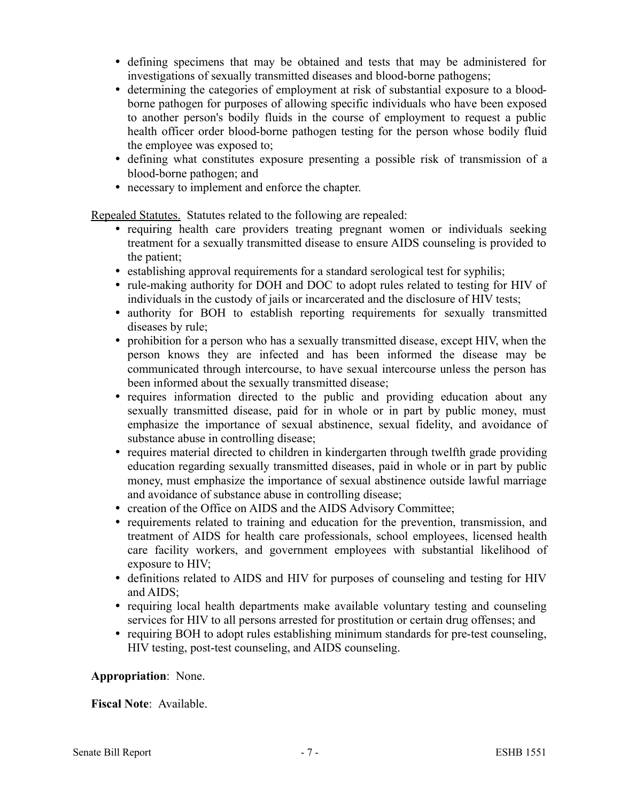- defining specimens that may be obtained and tests that may be administered for investigations of sexually transmitted diseases and blood-borne pathogens;
- determining the categories of employment at risk of substantial exposure to a bloodborne pathogen for purposes of allowing specific individuals who have been exposed to another person's bodily fluids in the course of employment to request a public health officer order blood-borne pathogen testing for the person whose bodily fluid the employee was exposed to;
- defining what constitutes exposure presenting a possible risk of transmission of a blood-borne pathogen; and
- necessary to implement and enforce the chapter.

Repealed Statutes. Statutes related to the following are repealed:

- requiring health care providers treating pregnant women or individuals seeking treatment for a sexually transmitted disease to ensure AIDS counseling is provided to the patient;
- establishing approval requirements for a standard serological test for syphilis;
- rule-making authority for DOH and DOC to adopt rules related to testing for HIV of individuals in the custody of jails or incarcerated and the disclosure of HIV tests;
- authority for BOH to establish reporting requirements for sexually transmitted diseases by rule;
- prohibition for a person who has a sexually transmitted disease, except HIV, when the person knows they are infected and has been informed the disease may be communicated through intercourse, to have sexual intercourse unless the person has been informed about the sexually transmitted disease;
- requires information directed to the public and providing education about any sexually transmitted disease, paid for in whole or in part by public money, must emphasize the importance of sexual abstinence, sexual fidelity, and avoidance of substance abuse in controlling disease;
- requires material directed to children in kindergarten through twelfth grade providing education regarding sexually transmitted diseases, paid in whole or in part by public money, must emphasize the importance of sexual abstinence outside lawful marriage and avoidance of substance abuse in controlling disease;
- creation of the Office on AIDS and the AIDS Advisory Committee;
- requirements related to training and education for the prevention, transmission, and treatment of AIDS for health care professionals, school employees, licensed health care facility workers, and government employees with substantial likelihood of exposure to HIV;
- definitions related to AIDS and HIV for purposes of counseling and testing for HIV and AIDS;
- requiring local health departments make available voluntary testing and counseling services for HIV to all persons arrested for prostitution or certain drug offenses; and
- requiring BOH to adopt rules establishing minimum standards for pre-test counseling, HIV testing, post-test counseling, and AIDS counseling.

## **Appropriation**: None.

**Fiscal Note**: Available.